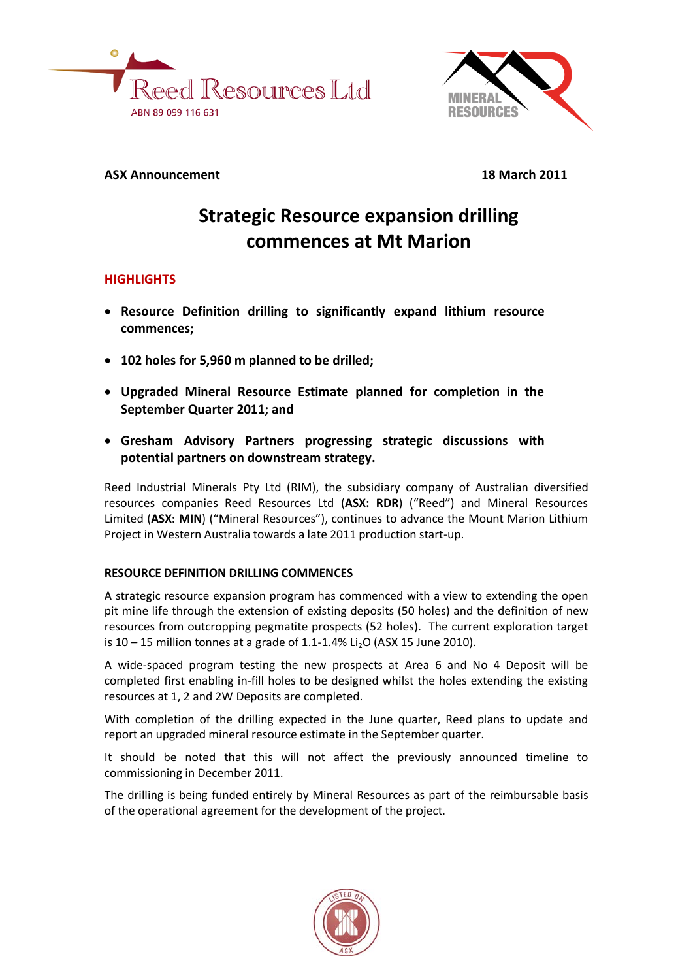



# **ASX Announcement 18 March 2011**

# **Strategic Resource expansion drilling commences at Mt Marion**

# **HIGHLIGHTS**

- **Resource Definition drilling to significantly expand lithium resource commences;**
- **102 holes for 5,960 m planned to be drilled;**
- **Upgraded Mineral Resource Estimate planned for completion in the September Quarter 2011; and**
- **Gresham Advisory Partners progressing strategic discussions with potential partners on downstream strategy.**

Reed Industrial Minerals Pty Ltd (RIM), the subsidiary company of Australian diversified resources companies Reed Resources Ltd (**ASX: RDR**) ("Reed") and Mineral Resources Limited (**ASX: MIN**) ("Mineral Resources"), continues to advance the Mount Marion Lithium Project in Western Australia towards a late 2011 production start-up.

# **RESOURCE DEFINITION DRILLING COMMENCES**

A strategic resource expansion program has commenced with a view to extending the open pit mine life through the extension of existing deposits (50 holes) and the definition of new resources from outcropping pegmatite prospects (52 holes). The current exploration target is  $10 - 15$  million tonnes at a grade of 1.1-1.4% Li<sub>2</sub>O (ASX 15 June 2010).

A wide-spaced program testing the new prospects at Area 6 and No 4 Deposit will be completed first enabling in-fill holes to be designed whilst the holes extending the existing resources at 1, 2 and 2W Deposits are completed.

With completion of the drilling expected in the June quarter, Reed plans to update and report an upgraded mineral resource estimate in the September quarter.

It should be noted that this will not affect the previously announced timeline to commissioning in December 2011.

The drilling is being funded entirely by Mineral Resources as part of the reimbursable basis of the operational agreement for the development of the project.

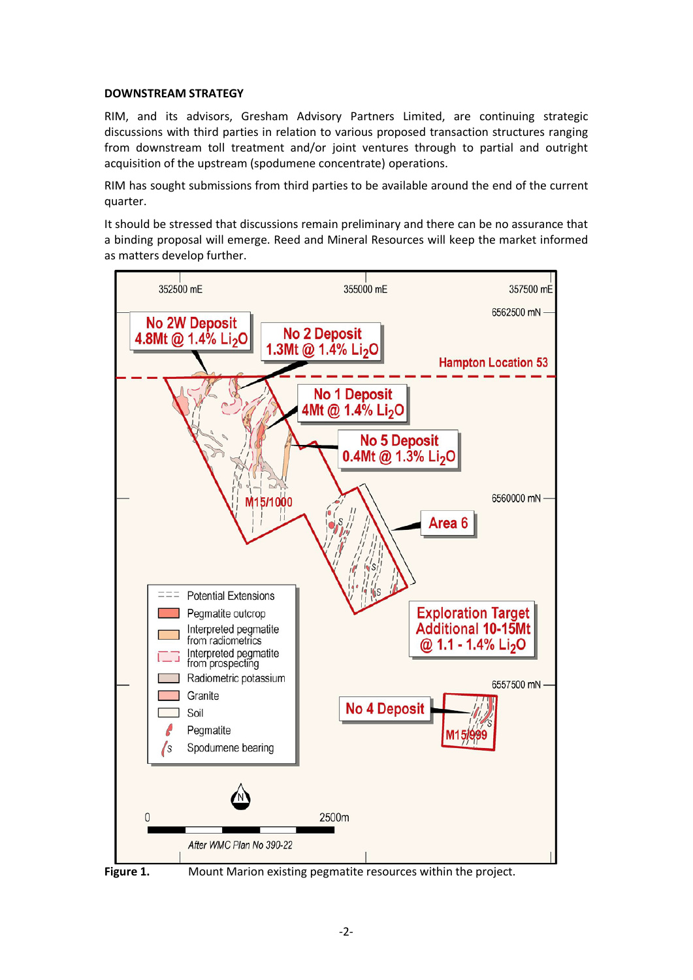#### **DOWNSTREAM STRATEGY**

RIM, and its advisors, Gresham Advisory Partners Limited, are continuing strategic discussions with third parties in relation to various proposed transaction structures ranging from downstream toll treatment and/or joint ventures through to partial and outright acquisition of the upstream (spodumene concentrate) operations.

RIM has sought submissions from third parties to be available around the end of the current quarter.

It should be stressed that discussions remain preliminary and there can be no assurance that a binding proposal will emerge. Reed and Mineral Resources will keep the market informed as matters develop further.





**Figure 1.** Mount Marion existing pegmatite resources within the project.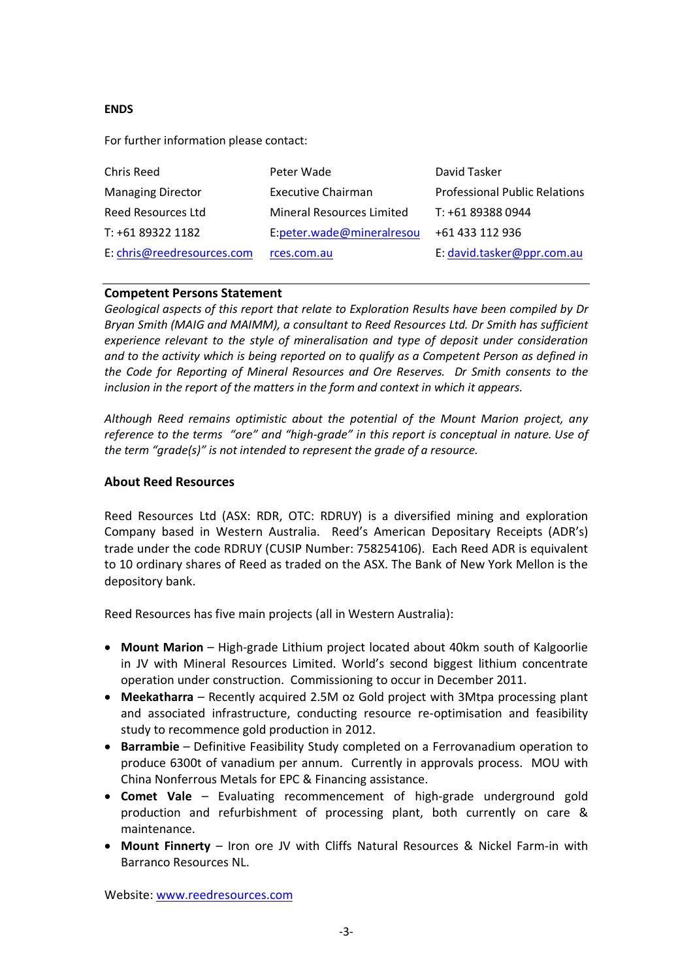## **ENDS**

For further information please contact:

| Chris Reed                 | Peter Wade                | David Tasker                  |
|----------------------------|---------------------------|-------------------------------|
| <b>Managing Director</b>   | <b>Executive Chairman</b> | Professional Public Relations |
| Reed Resources Ltd         | Mineral Resources Limited | T: +61 89388 0944             |
| T: +61 89322 1182          | E:peter.wade@mineralresou | +61 433 112 936               |
| E: chris@reedresources.com | rces.com.au               | E: david.tasker@ppr.com.au    |

## **Competent Persons Statement**

*Geological aspects of this report that relate to Exploration Results have been compiled by Dr Bryan Smith (MAIG and MAIMM), a consultant to Reed Resources Ltd. Dr Smith has sufficient experience relevant to the style of mineralisation and type of deposit under consideration and to the activity which is being reported on to qualify as a Competent Person as defined in the Code for Reporting of Mineral Resources and Ore Reserves. Dr Smith consents to the inclusion in the report of the matters in the form and context in which it appears.*

*Although Reed remains optimistic about the potential of the Mount Marion project, any reference to the terms "ore" and "high-grade" in this report is conceptual in nature. Use of the term "grade(s)" is not intended to represent the grade of a resource.*

#### **About Reed Resources**

Reed Resources Ltd (ASX: RDR, OTC: RDRUY) is a diversified mining and exploration Company based in Western Australia. Reed's American Depositary Receipts (ADR's) trade under the code RDRUY (CUSIP Number: 758254106). Each Reed ADR is equivalent to 10 ordinary shares of Reed as traded on the ASX. The Bank of New York Mellon is the depository bank.

Reed Resources has five main projects (all in Western Australia):

- **Mount Marion** High-grade Lithium project located about 40km south of Kalgoorlie in JV with Mineral Resources Limited. World's second biggest lithium concentrate operation under construction. Commissioning to occur in December 2011.
- **Meekatharra**  Recently acquired 2.5M oz Gold project with 3Mtpa processing plant and associated infrastructure, conducting resource re-optimisation and feasibility study to recommence gold production in 2012.
- **Barrambie** Definitive Feasibility Study completed on a Ferrovanadium operation to produce 6300t of vanadium per annum. Currently in approvals process. MOU with China Nonferrous Metals for EPC & Financing assistance.
- **Comet Vale** Evaluating recommencement of high-grade underground gold production and refurbishment of processing plant, both currently on care & maintenance.
- **Mount Finnerty** Iron ore JV with Cliffs Natural Resources & Nickel Farm-in with Barranco Resources NL.

Website: [www.reedresources.com](http://www.reedresources.com/)